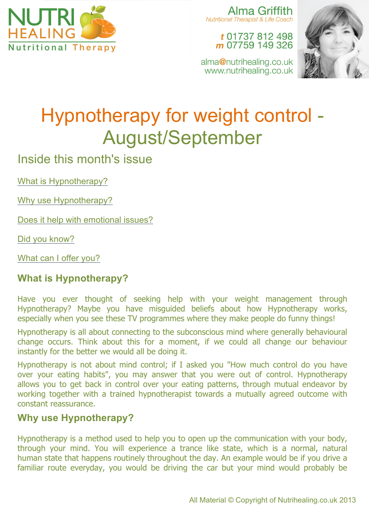

Alma Griffith Nutritional Therapist & Life Coach

> t 01737 812 498 m 07759 149 326

alma@nutrihealing.co.uk www.nutrihealing.co.uk



# Hypnotherapy for weight control - August/September

Inside this month's issue

What is Hypnotherapy?

Why use Hypnotherapy?

Does it help with emotional issues?

Did you know?

What can I offer you?

# **What is Hypnotherapy?**

Have you ever thought of seeking help with your weight management through Hypnotherapy? Maybe you have misguided beliefs about how Hypnotherapy works, especially when you see these TV programmes where they make people do funny things!

Hypnotherapy is all about connecting to the subconscious mind where generally behavioural change occurs. Think about this for a moment, if we could all change our behaviour instantly for the better we would all be doing it.

Hypnotherapy is not about mind control; if I asked you "How much control do you have over your eating habits", you may answer that you were out of control. Hypnotherapy allows you to get back in control over your eating patterns, through mutual endeavor by working together with a trained hypnotherapist towards a mutually agreed outcome with constant reassurance.

## **Why use Hypnotherapy?**

Hypnotherapy is a method used to help you to open up the communication with your body, through your mind. You will experience a trance like state, which is a normal, natural human state that happens routinely throughout the day. An example would be if you drive a familiar route everyday, you would be driving the car but your mind would probably be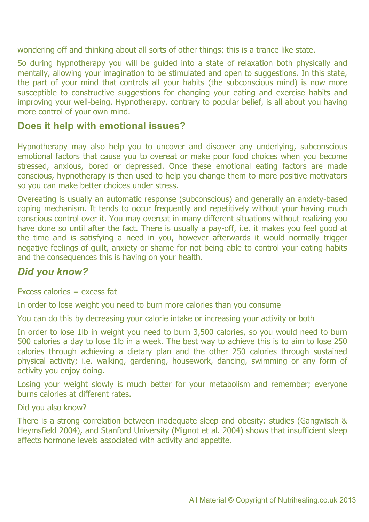wondering off and thinking about all sorts of other things; this is a trance like state.

So during hypnotherapy you will be guided into a state of relaxation both physically and mentally, allowing your imagination to be stimulated and open to suggestions. In this state, the part of your mind that controls all your habits (the subconscious mind) is now more susceptible to constructive suggestions for changing your eating and exercise habits and improving your well-being. Hypnotherapy, contrary to popular belief, is all about you having more control of your own mind.

### **Does it help with emotional issues?**

Hypnotherapy may also help you to uncover and discover any underlying, subconscious emotional factors that cause you to overeat or make poor food choices when you become stressed, anxious, bored or depressed. Once these emotional eating factors are made conscious, hypnotherapy is then used to help you change them to more positive motivators so you can make better choices under stress.

Overeating is usually an automatic response (subconscious) and generally an anxiety-based coping mechanism. It tends to occur frequently and repetitively without your having much conscious control over it. You may overeat in many different situations without realizing you have done so until after the fact. There is usually a pay-off, i.e. it makes you feel good at the time and is satisfying a need in you, however afterwards it would normally trigger negative feelings of guilt, anxiety or shame for not being able to control your eating habits and the consequences this is having on your health.

## *Did you know?*

Excess calories  $=$  excess fat

In order to lose weight you need to burn more calories than you consume

You can do this by decreasing your calorie intake or increasing your activity or both

In order to lose 1lb in weight you need to burn 3,500 calories, so you would need to burn 500 calories a day to lose 1lb in a week. The best way to achieve this is to aim to lose 250 calories through achieving a dietary plan and the other 250 calories through sustained physical activity; i.e. walking, gardening, housework, dancing, swimming or any form of activity you enjoy doing.

Losing your weight slowly is much better for your metabolism and remember; everyone burns calories at different rates.

Did you also know?

There is a strong correlation between inadequate sleep and obesity: studies (Gangwisch & Heymsfield 2004), and Stanford University (Mignot et al. 2004) shows that insufficient sleep affects hormone levels associated with activity and appetite.